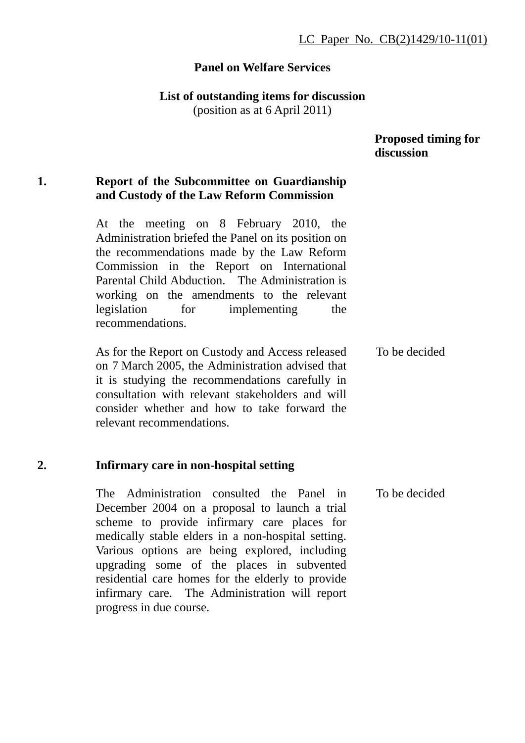### **Panel on Welfare Services**

#### **List of outstanding items for discussion**

(position as at 6 April 2011)

#### **Proposed timing for discussion**

# **1. Report of the Subcommittee on Guardianship and Custody of the Law Reform Commission**

At the meeting on 8 February 2010, the Administration briefed the Panel on its position on the recommendations made by the Law Reform Commission in the Report on International Parental Child Abduction. The Administration is working on the amendments to the relevant legislation for implementing the recommendations.

As for the Report on Custody and Access released on 7 March 2005, the Administration advised that it is studying the recommendations carefully in consultation with relevant stakeholders and will consider whether and how to take forward the relevant recommendations. To be decided

#### **2. Infirmary care in non-hospital setting**

The Administration consulted the Panel in December 2004 on a proposal to launch a trial scheme to provide infirmary care places for medically stable elders in a non-hospital setting. Various options are being explored, including upgrading some of the places in subvented residential care homes for the elderly to provide infirmary care. The Administration will report progress in due course. To be decided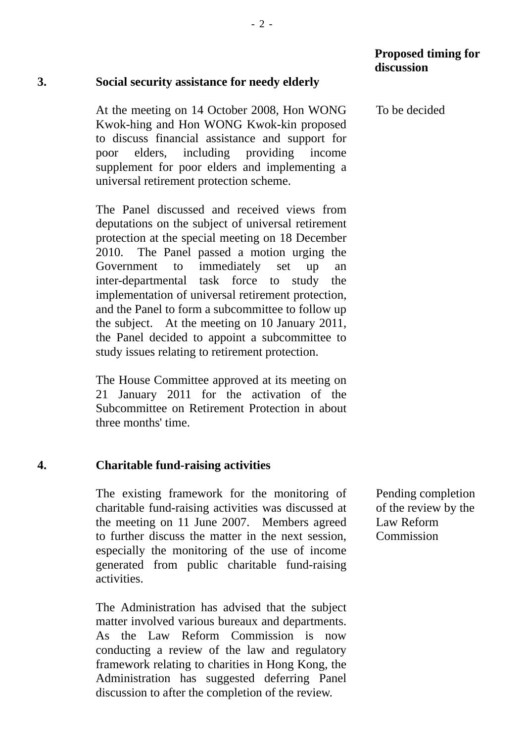#### **3. Social security assistance for needy elderly**

At the meeting on 14 October 2008, Hon WONG Kwok-hing and Hon WONG Kwok-kin proposed to discuss financial assistance and support for poor elders, including providing income supplement for poor elders and implementing a universal retirement protection scheme.

The Panel discussed and received views from deputations on the subject of universal retirement protection at the special meeting on 18 December 2010. The Panel passed a motion urging the Government to immediately set up an inter-departmental task force to study the implementation of universal retirement protection, and the Panel to form a subcommittee to follow up the subject. At the meeting on 10 January 2011, the Panel decided to appoint a subcommittee to study issues relating to retirement protection.

The House Committee approved at its meeting on 21 January 2011 for the activation of the Subcommittee on Retirement Protection in about three months' time.

#### **4. Charitable fund-raising activities**

The existing framework for the monitoring of charitable fund-raising activities was discussed at the meeting on 11 June 2007. Members agreed to further discuss the matter in the next session, especially the monitoring of the use of income generated from public charitable fund-raising activities.

The Administration has advised that the subject matter involved various bureaux and departments. As the Law Reform Commission is now conducting a review of the law and regulatory framework relating to charities in Hong Kong, the Administration has suggested deferring Panel discussion to after the completion of the review.

#### Pending completion of the review by the Law Reform Commission

To be decided

**discussion**

 **Proposed timing for**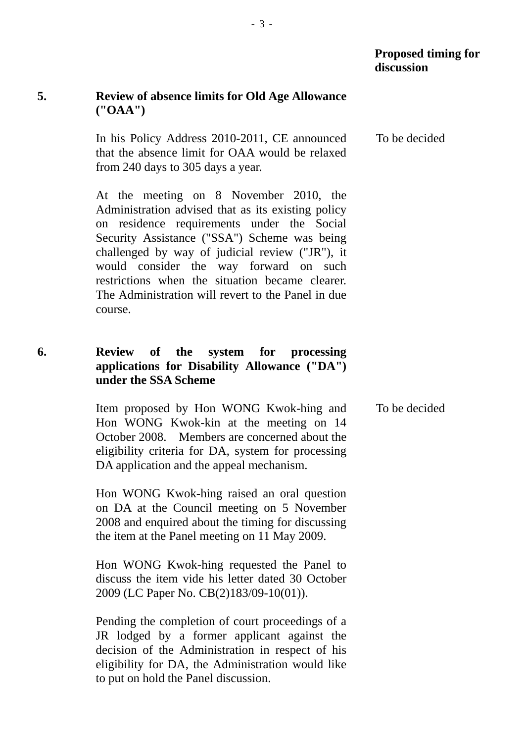# **5. Review of absence limits for Old Age Allowance ("OAA")**

In his Policy Address 2010-2011, CE announced that the absence limit for OAA would be relaxed from 240 days to 305 days a year. To be decided

At the meeting on 8 November 2010, the Administration advised that as its existing policy on residence requirements under the Social Security Assistance ("SSA") Scheme was being challenged by way of judicial review ("JR"), it would consider the way forward on such restrictions when the situation became clearer. The Administration will revert to the Panel in due course.

### **6. Review of the system for processing applications for Disability Allowance ("DA") under the SSA Scheme**

Item proposed by Hon WONG Kwok-hing and Hon WONG Kwok-kin at the meeting on 14 October 2008. Members are concerned about the eligibility criteria for DA, system for processing DA application and the appeal mechanism. To be decided

Hon WONG Kwok-hing raised an oral question on DA at the Council meeting on 5 November 2008 and enquired about the timing for discussing the item at the Panel meeting on 11 May 2009.

Hon WONG Kwok-hing requested the Panel to discuss the item vide his letter dated 30 October 2009 (LC Paper No. CB(2)183/09-10(01)).

Pending the completion of court proceedings of a JR lodged by a former applicant against the decision of the Administration in respect of his eligibility for DA, the Administration would like to put on hold the Panel discussion.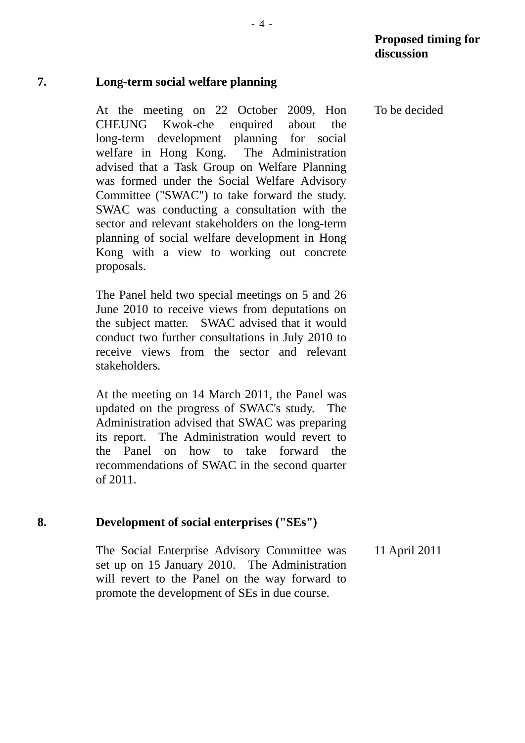# **7. Long-term social welfare planning**

At the meeting on 22 October 2009, Hon CHEUNG Kwok-che enquired about the long-term development planning for social welfare in Hong Kong. The Administration advised that a Task Group on Welfare Planning was formed under the Social Welfare Advisory Committee ("SWAC") to take forward the study. SWAC was conducting a consultation with the sector and relevant stakeholders on the long-term planning of social welfare development in Hong Kong with a view to working out concrete proposals.

The Panel held two special meetings on 5 and 26 June 2010 to receive views from deputations on the subject matter. SWAC advised that it would conduct two further consultations in July 2010 to receive views from the sector and relevant stakeholders.

At the meeting on 14 March 2011, the Panel was updated on the progress of SWAC's study. The Administration advised that SWAC was preparing its report. The Administration would revert to the Panel on how to take forward the recommendations of SWAC in the second quarter of 2011.

# **8. Development of social enterprises ("SEs")**

The Social Enterprise Advisory Committee was set up on 15 January 2010. The Administration will revert to the Panel on the way forward to promote the development of SEs in due course. 11 April 2011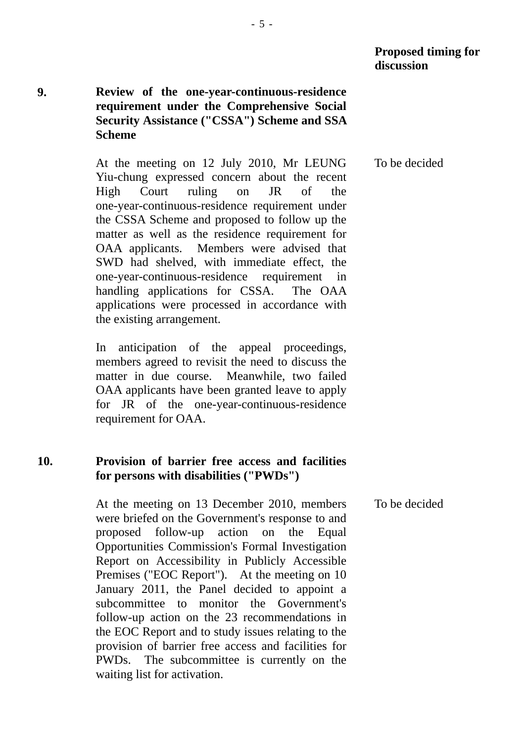# **9. Review of the one-year-continuous-residence requirement under the Comprehensive Social Security Assistance ("CSSA") Scheme and SSA Scheme**

At the meeting on 12 July 2010, Mr LEUNG Yiu-chung expressed concern about the recent High Court ruling on JR of the one-year-continuous-residence requirement under the CSSA Scheme and proposed to follow up the matter as well as the residence requirement for OAA applicants. Members were advised that SWD had shelved, with immediate effect, the one-year-continuous-residence requirement in handling applications for CSSA. The OAA applications were processed in accordance with the existing arrangement.

In anticipation of the appeal proceedings, members agreed to revisit the need to discuss the matter in due course. Meanwhile, two failed OAA applicants have been granted leave to apply for JR of the one-year-continuous-residence requirement for OAA.

# **10. Provision of barrier free access and facilities for persons with disabilities ("PWDs")**

At the meeting on 13 December 2010, members were briefed on the Government's response to and proposed follow-up action on the Equal Opportunities Commission's Formal Investigation Report on Accessibility in Publicly Accessible Premises ("EOC Report"). At the meeting on 10 January 2011, the Panel decided to appoint a subcommittee to monitor the Government's follow-up action on the 23 recommendations in the EOC Report and to study issues relating to the provision of barrier free access and facilities for PWDs. The subcommittee is currently on the waiting list for activation. To be decided

To be decided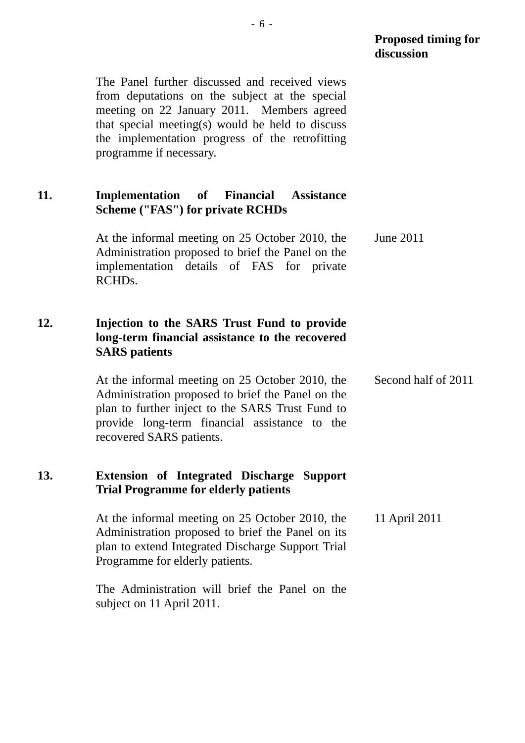The Panel further discussed and received views from deputations on the subject at the special meeting on 22 January 2011. Members agreed that special meeting(s) would be held to discuss the implementation progress of the retrofitting programme if necessary.

#### **11. Implementation of Financial Assistance Scheme ("FAS") for private RCHDs**

At the informal meeting on 25 October 2010, the Administration proposed to brief the Panel on the implementation details of FAS for private RCHDs. June 2011

# **12. Injection to the SARS Trust Fund to provide long-term financial assistance to the recovered SARS patients**

At the informal meeting on 25 October 2010, the Administration proposed to brief the Panel on the plan to further inject to the SARS Trust Fund to provide long-term financial assistance to the recovered SARS patients. Second half of 2011

#### **13. Extension of Integrated Discharge Support Trial Programme for elderly patients**

At the informal meeting on 25 October 2010, the Administration proposed to brief the Panel on its plan to extend Integrated Discharge Support Trial Programme for elderly patients. 11 April 2011

The Administration will brief the Panel on the subject on 11 April 2011.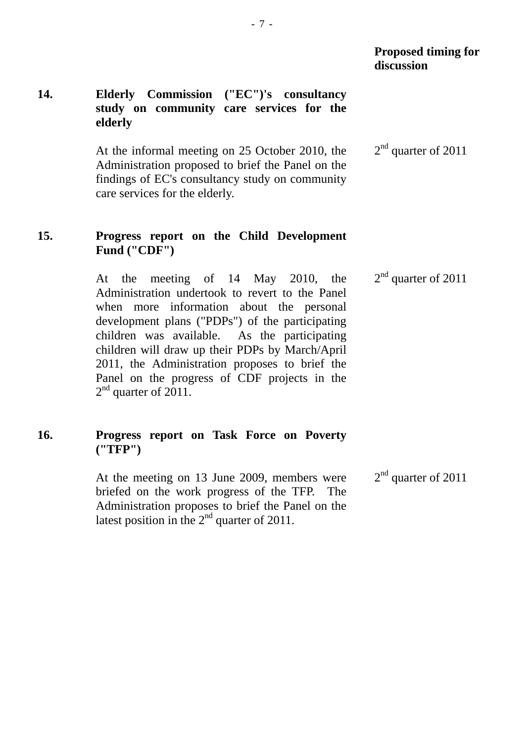# **14. Elderly Commission ("EC")'s consultancy study on community care services for the elderly**

At the informal meeting on 25 October 2010, the Administration proposed to brief the Panel on the findings of EC's consultancy study on community care services for the elderly. 2<sup>nd</sup> quarter of 2011

#### **15. Progress report on the Child Development Fund ("CDF")**

At the meeting of 14 May 2010, the Administration undertook to revert to the Panel when more information about the personal development plans ("PDPs") of the participating children was available. As the participating children will draw up their PDPs by March/April 2011, the Administration proposes to brief the Panel on the progress of CDF projects in the 2<sup>nd</sup> quarter of 2011.  $2<sup>nd</sup>$  quarter of 2011

# **16. Progress report on Task Force on Poverty ("TFP")**

At the meeting on 13 June 2009, members were briefed on the work progress of the TFP. The Administration proposes to brief the Panel on the latest position in the  $2<sup>nd</sup>$  quarter of 2011. 2<sup>nd</sup> quarter of 2011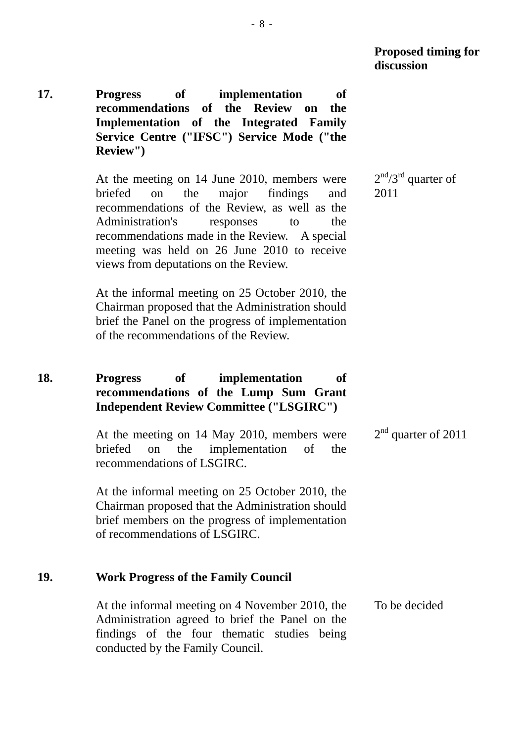**17. Progress of implementation of recommendations of the Review on the Implementation of the Integrated Family Service Centre ("IFSC") Service Mode ("the Review")** 

> At the meeting on 14 June 2010, members were briefed on the major findings and recommendations of the Review, as well as the Administration's responses to the recommendations made in the Review. A special meeting was held on 26 June 2010 to receive views from deputations on the Review.

At the informal meeting on 25 October 2010, the Chairman proposed that the Administration should brief the Panel on the progress of implementation of the recommendations of the Review.

# **18. Progress of implementation of recommendations of the Lump Sum Grant Independent Review Committee ("LSGIRC")**

At the meeting on 14 May 2010, members were briefed on the implementation of the recommendations of LSGIRC.

At the informal meeting on 25 October 2010, the Chairman proposed that the Administration should brief members on the progress of implementation of recommendations of LSGIRC.

# **19. Work Progress of the Family Council**

At the informal meeting on 4 November 2010, the Administration agreed to brief the Panel on the findings of the four thematic studies being conducted by the Family Council. To be decided

 $2<sup>nd</sup>/3<sup>rd</sup>$  quarter of 2011

 $2<sup>nd</sup>$  quarter of 2011